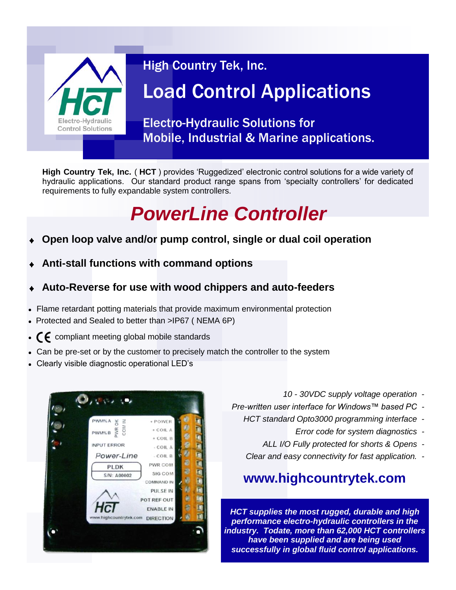

### High Country Tek, Inc.

# Load Control Applications

Electro-Hydraulic Solutions for Mobile, Industrial & Marine applications.

**High Country Tek, Inc.** ( **HCT** ) provides 'Ruggedized' electronic control solutions for a wide variety of hydraulic applications. Our standard product range spans from 'specialty controllers' for dedicated requirements to fully expandable system controllers.

## *PowerLine Controller*

- **Open loop valve and/or pump control, single or dual coil operation**
- **Anti-stall functions with command options**
- **Auto-Reverse for use with wood chippers and auto-feeders**
- Flame retardant potting materials that provide maximum environmental protection
- Protected and Sealed to better than >IP67 ( NEMA 6P)
- $\cdot$   $\zeta$  compliant meeting global mobile standards
- Can be pre-set or by the customer to precisely match the controller to the system
- Clearly visible diagnostic operational LED's



- *10 - 30VDC supply voltage operation -*
- *Pre-written user interface for Windows™ based PC -*
	- *HCT standard Opto3000 programming interface -*
		- *Error code for system diagnostics -*
		- *ALL I/O Fully protected for shorts & Opens -*
		- *Clear and easy connectivity for fast application. -*

### **www.highcountrytek.com**

*HCT supplies the most rugged, durable and high performance electro-hydraulic controllers in the industry. Todate, more than 62,000 HCT controllers have been supplied and are being used successfully in global fluid control applications.*